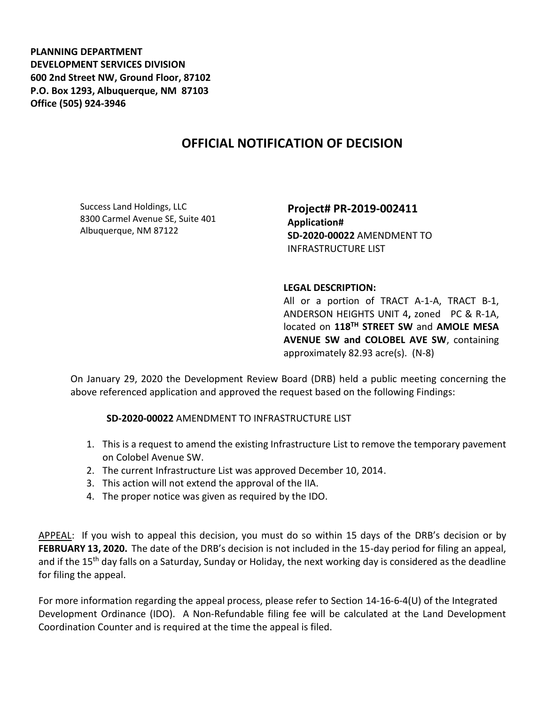**PLANNING DEPARTMENT DEVELOPMENT SERVICES DIVISION 600 2nd Street NW, Ground Floor, 87102 P.O. Box 1293, Albuquerque, NM 87103 Office (505) 924-3946** 

## **OFFICIAL NOTIFICATION OF DECISION**

Success Land Holdings, LLC 8300 Carmel Avenue SE, Suite 401 Albuquerque, NM 87122

**Project# PR-2019-002411 Application# SD-2020-00022** AMENDMENT TO INFRASTRUCTURE LIST

## **LEGAL DESCRIPTION:**

All or a portion of TRACT A-1-A, TRACT B-1, ANDERSON HEIGHTS UNIT 4**,** zoned PC & R-1A, located on **118TH STREET SW** and **AMOLE MESA AVENUE SW and COLOBEL AVE SW**, containing approximately 82.93 acre(s). (N-8)

On January 29, 2020 the Development Review Board (DRB) held a public meeting concerning the above referenced application and approved the request based on the following Findings:

**SD-2020-00022** AMENDMENT TO INFRASTRUCTURE LIST

- 1. This is a request to amend the existing Infrastructure List to remove the temporary pavement on Colobel Avenue SW.
- 2. The current Infrastructure List was approved December 10, 2014.
- 3. This action will not extend the approval of the IIA.
- 4. The proper notice was given as required by the IDO.

APPEAL: If you wish to appeal this decision, you must do so within 15 days of the DRB's decision or by **FEBRUARY 13, 2020.** The date of the DRB's decision is not included in the 15-day period for filing an appeal, and if the 15<sup>th</sup> day falls on a Saturday, Sunday or Holiday, the next working day is considered as the deadline for filing the appeal.

For more information regarding the appeal process, please refer to Section 14-16-6-4(U) of the Integrated Development Ordinance (IDO). A Non-Refundable filing fee will be calculated at the Land Development Coordination Counter and is required at the time the appeal is filed.